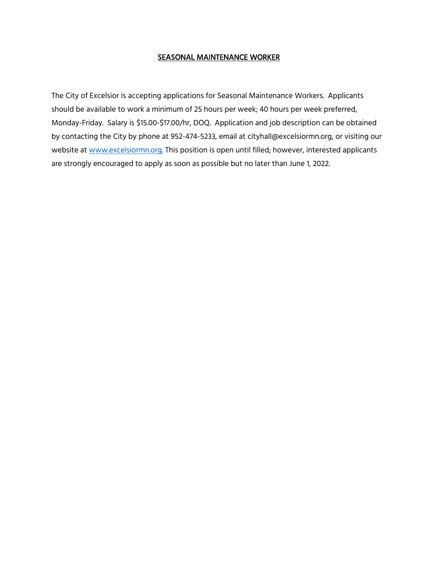#### SEASONAL MAINTENANCE WORKER

The City of Excelsior is accepting applications for Seasonal Maintenance Workers. Applicants should be available to work a minimum of 25 hours per week; 40 hours per week preferred, Monday-Friday. Salary is \$15.00-\$17.00/hr, DOQ. Application and job description can be obtained by contacting the City by phone at 952-474-5233, email at cityhall@excelsiormn.org, or visiting our website at [www.excelsiormn.org.](http://www.excelsiormn.org/) This position is open until filled; however, interested applicants are strongly encouraged to apply as soon as possible but no later than June 1, 2022.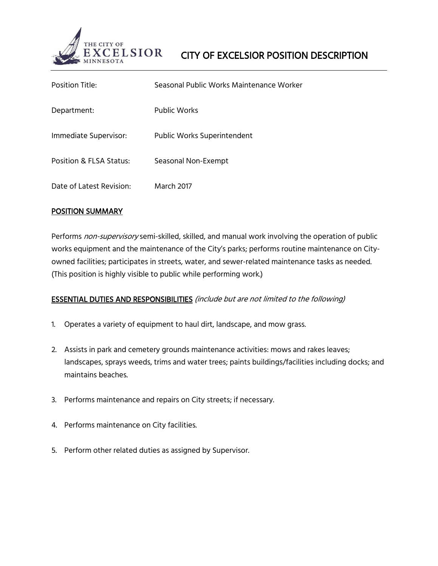

| Position Title:          | Seasonal Public Works Maintenance Worker |
|--------------------------|------------------------------------------|
| Department:              | Public Works                             |
| Immediate Supervisor:    | Public Works Superintendent              |
| Position & FLSA Status:  | Seasonal Non-Exempt                      |
| Date of Latest Revision: | March 2017                               |

## POSITION SUMMARY

Performs non-supervisory semi-skilled, skilled, and manual work involving the operation of public works equipment and the maintenance of the City's parks; performs routine maintenance on Cityowned facilities; participates in streets, water, and sewer-related maintenance tasks as needed. (This position is highly visible to public while performing work.)

# ESSENTIAL DUTIES AND RESPONSIBILITIES (include but are not limited to the following)

- 1. Operates a variety of equipment to haul dirt, landscape, and mow grass.
- 2. Assists in park and cemetery grounds maintenance activities: mows and rakes leaves; landscapes, sprays weeds, trims and water trees; paints buildings/facilities including docks; and maintains beaches.
- 3. Performs maintenance and repairs on City streets; if necessary.
- 4. Performs maintenance on City facilities.
- 5. Perform other related duties as assigned by Supervisor.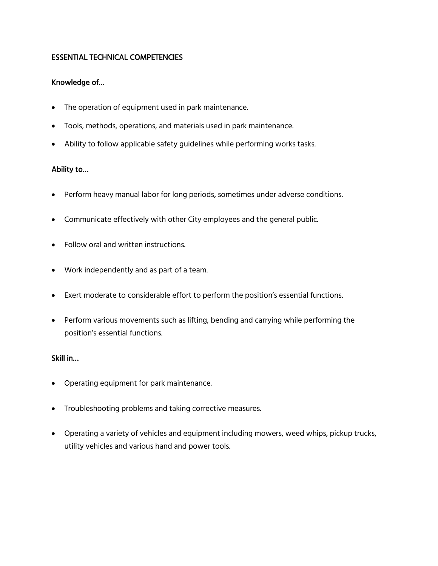## ESSENTIAL TECHNICAL COMPETENCIES

# Knowledge of…

- The operation of equipment used in park maintenance.
- Tools, methods, operations, and materials used in park maintenance.
- Ability to follow applicable safety guidelines while performing works tasks.

## Ability to…

- Perform heavy manual labor for long periods, sometimes under adverse conditions.
- Communicate effectively with other City employees and the general public.
- Follow oral and written instructions.
- Work independently and as part of a team.
- Exert moderate to considerable effort to perform the position's essential functions.
- Perform various movements such as lifting, bending and carrying while performing the position's essential functions.

## Skill in…

- Operating equipment for park maintenance.
- Troubleshooting problems and taking corrective measures.
- Operating a variety of vehicles and equipment including mowers, weed whips, pickup trucks, utility vehicles and various hand and power tools.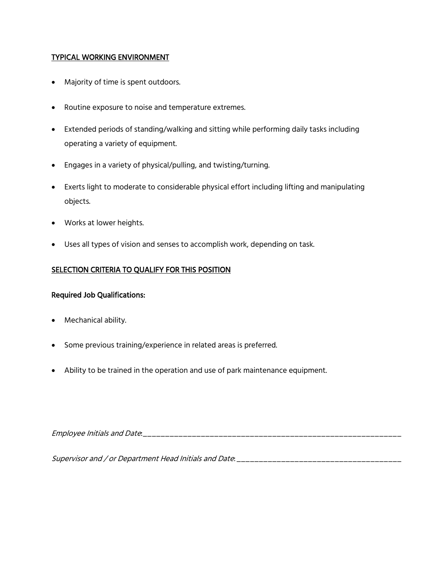## TYPICAL WORKING ENVIRONMENT

- Majority of time is spent outdoors.
- Routine exposure to noise and temperature extremes.
- Extended periods of standing/walking and sitting while performing daily tasks including operating a variety of equipment.
- Engages in a variety of physical/pulling, and twisting/turning.
- Exerts light to moderate to considerable physical effort including lifting and manipulating objects.
- Works at lower heights.
- Uses all types of vision and senses to accomplish work, depending on task.

## SELECTION CRITERIA TO QUALIFY FOR THIS POSITION

#### Required Job Qualifications:

- Mechanical ability.
- Some previous training/experience in related areas is preferred.
- Ability to be trained in the operation and use of park maintenance equipment.

Employee Initials and Date:\_\_\_\_\_\_\_\_\_\_\_\_\_\_\_\_\_\_\_\_\_\_\_\_\_\_\_\_\_\_\_\_\_\_\_\_\_\_\_\_\_\_\_\_\_\_\_\_\_\_\_\_\_\_\_\_\_\_

Supervisor and / or Department Head Initials and Date: \_\_\_\_\_\_\_\_\_\_\_\_\_\_\_\_\_\_\_\_\_\_\_\_\_\_\_\_\_\_\_\_\_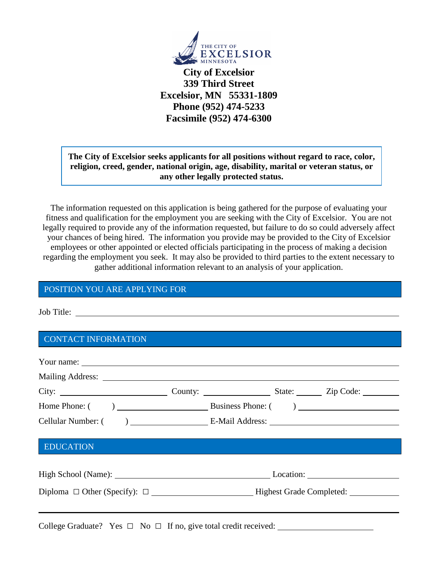

**City of Excelsior 339 Third Street Excelsior, MN 55331-1809 Phone (952) 474-5233 Facsimile (952) 474-6300**

# **The City of Excelsior seeks applicants for all positions without regard to race, color, religion, creed, gender, national origin, age, disability, marital or veteran status, or any other legally protected status.**

The information requested on this application is being gathered for the purpose of evaluating your fitness and qualification for the employment you are seeking with the City of Excelsior. You are not legally required to provide any of the information requested, but failure to do so could adversely affect your chances of being hired. The information you provide may be provided to the City of Excelsior employees or other appointed or elected officials participating in the process of making a decision regarding the employment you seek. It may also be provided to third parties to the extent necessary to gather additional information relevant to an analysis of your application.

# POSITION YOU ARE APPLYING FOR

Job Title:

# CONTACT INFORMATION

College Graduate? Yes  $\Box$  No  $\Box$  If no, give total credit received: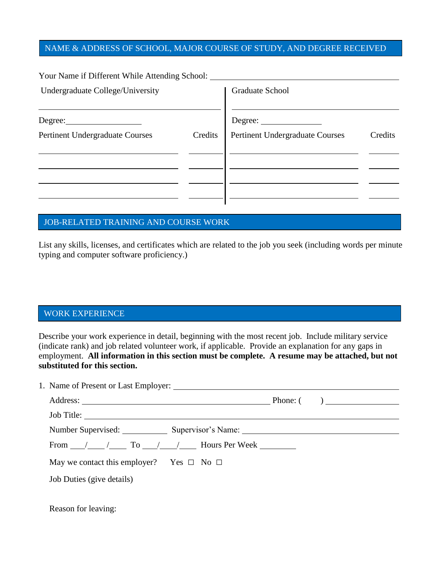# NAME & ADDRESS OF SCHOOL, MAJOR COURSE OF STUDY, AND DEGREE RECEIVED

Your Name if Different While Attending School:

| Undergraduate College/University       |         | Graduate School                 |         |  |
|----------------------------------------|---------|---------------------------------|---------|--|
| Degree:                                |         | Degree:                         |         |  |
| <b>Pertinent Undergraduate Courses</b> | Credits | Pertinent Undergraduate Courses | Credits |  |
|                                        |         |                                 |         |  |
|                                        |         |                                 |         |  |
|                                        |         |                                 |         |  |

## JOB-RELATED TRAINING AND COURSE WORK

List any skills, licenses, and certificates which are related to the job you seek (including words per minute typing and computer software proficiency.)

#### WORK EXPERIENCE

Describe your work experience in detail, beginning with the most recent job. Include military service (indicate rank) and job related volunteer work, if applicable. Provide an explanation for any gaps in employment. **All information in this section must be complete. A resume may be attached, but not substituted for this section.**

1. Name of Present or Last Employer:

| Number Supervised: Supervisor's Name: Supervisor's Name: |  |  |
|----------------------------------------------------------|--|--|
| From / / To / / Hours Per Week                           |  |  |
| May we contact this employer? Yes $\Box$ No $\Box$       |  |  |
| Job Duties (give details)                                |  |  |
|                                                          |  |  |
| Reason for leaving:                                      |  |  |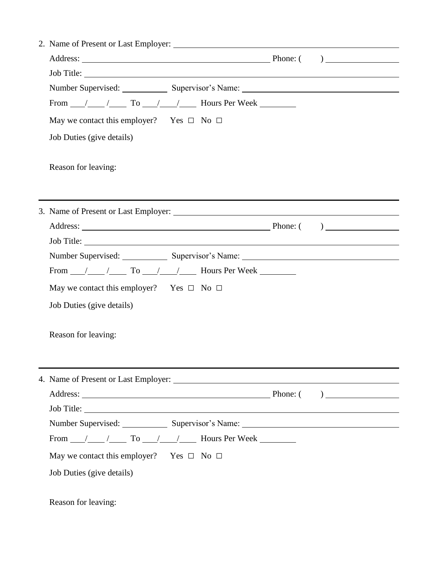| Job Title:                                                         |  |  |  |                                                                                                                                                                                                                               |  |
|--------------------------------------------------------------------|--|--|--|-------------------------------------------------------------------------------------------------------------------------------------------------------------------------------------------------------------------------------|--|
|                                                                    |  |  |  | Number Supervised: Supervisor's Name: Supervisor's Name: Supervisor's Name: Supervisor's Name: Supervisor's Name: Supervisor's Name: Supervisor's Name: Supervisor's Name: Supervisor's Name: Supervisor's Name: Supervisor's |  |
| From $\frac{1}{\sqrt{2}}$ / To $\frac{1}{\sqrt{2}}$ Hours Per Week |  |  |  |                                                                                                                                                                                                                               |  |
| May we contact this employer? Yes $\Box$ No $\Box$                 |  |  |  |                                                                                                                                                                                                                               |  |
| Job Duties (give details)                                          |  |  |  |                                                                                                                                                                                                                               |  |
|                                                                    |  |  |  |                                                                                                                                                                                                                               |  |
| Reason for leaving:                                                |  |  |  |                                                                                                                                                                                                                               |  |
|                                                                    |  |  |  |                                                                                                                                                                                                                               |  |
|                                                                    |  |  |  |                                                                                                                                                                                                                               |  |
|                                                                    |  |  |  |                                                                                                                                                                                                                               |  |
|                                                                    |  |  |  |                                                                                                                                                                                                                               |  |
|                                                                    |  |  |  |                                                                                                                                                                                                                               |  |
|                                                                    |  |  |  | Number Supervised: Supervisor's Name: Supervisor's Name:                                                                                                                                                                      |  |
| From $\frac{1}{\sqrt{2}}$ / To $\frac{1}{\sqrt{2}}$ Hours Per Week |  |  |  |                                                                                                                                                                                                                               |  |
| May we contact this employer? Yes $\Box$ No $\Box$                 |  |  |  |                                                                                                                                                                                                                               |  |
| Job Duties (give details)                                          |  |  |  |                                                                                                                                                                                                                               |  |
|                                                                    |  |  |  |                                                                                                                                                                                                                               |  |
| Reason for leaving:                                                |  |  |  |                                                                                                                                                                                                                               |  |
|                                                                    |  |  |  |                                                                                                                                                                                                                               |  |
|                                                                    |  |  |  |                                                                                                                                                                                                                               |  |
|                                                                    |  |  |  |                                                                                                                                                                                                                               |  |
|                                                                    |  |  |  |                                                                                                                                                                                                                               |  |
| Job Title:                                                         |  |  |  |                                                                                                                                                                                                                               |  |
|                                                                    |  |  |  | Number Supervised: Supervisor's Name: Supervisor's Name:                                                                                                                                                                      |  |
| From $\frac{1}{\sqrt{2}}$ / To $\frac{1}{\sqrt{2}}$ Hours Per Week |  |  |  |                                                                                                                                                                                                                               |  |
| May we contact this employer? Yes $\Box$ No $\Box$                 |  |  |  |                                                                                                                                                                                                                               |  |
| Job Duties (give details)                                          |  |  |  |                                                                                                                                                                                                                               |  |
|                                                                    |  |  |  |                                                                                                                                                                                                                               |  |
|                                                                    |  |  |  |                                                                                                                                                                                                                               |  |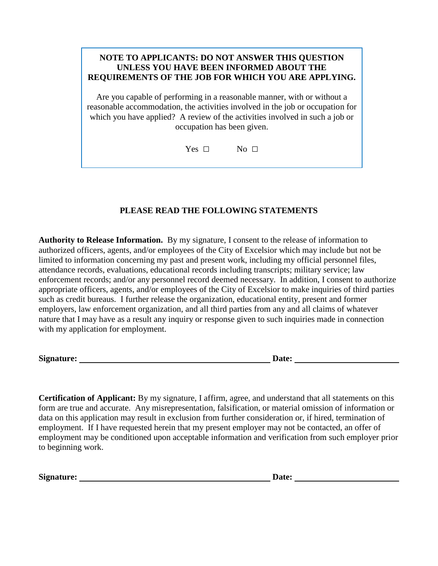# **NOTE TO APPLICANTS: DO NOT ANSWER THIS QUESTION UNLESS YOU HAVE BEEN INFORMED ABOUT THE REQUIREMENTS OF THE JOB FOR WHICH YOU ARE APPLYING.**

Are you capable of performing in a reasonable manner, with or without a reasonable accommodation, the activities involved in the job or occupation for which you have applied? A review of the activities involved in such a job or occupation has been given.

Yes  $\Box$  No  $\Box$ 

# **PLEASE READ THE FOLLOWING STATEMENTS**

**Authority to Release Information.** By my signature, I consent to the release of information to authorized officers, agents, and/or employees of the City of Excelsior which may include but not be limited to information concerning my past and present work, including my official personnel files, attendance records, evaluations, educational records including transcripts; military service; law enforcement records; and/or any personnel record deemed necessary. In addition, I consent to authorize appropriate officers, agents, and/or employees of the City of Excelsior to make inquiries of third parties such as credit bureaus. I further release the organization, educational entity, present and former employers, law enforcement organization, and all third parties from any and all claims of whatever nature that I may have as a result any inquiry or response given to such inquiries made in connection with my application for employment.

**Signature: Date:** 

**Certification of Applicant:** By my signature, I affirm, agree, and understand that all statements on this form are true and accurate. Any misrepresentation, falsification, or material omission of information or data on this application may result in exclusion from further consideration or, if hired, termination of employment. If I have requested herein that my present employer may not be contacted, an offer of employment may be conditioned upon acceptable information and verification from such employer prior to beginning work.

Signature: <u>Date:</u> Date: **Date:** Date: **Date:** 2014